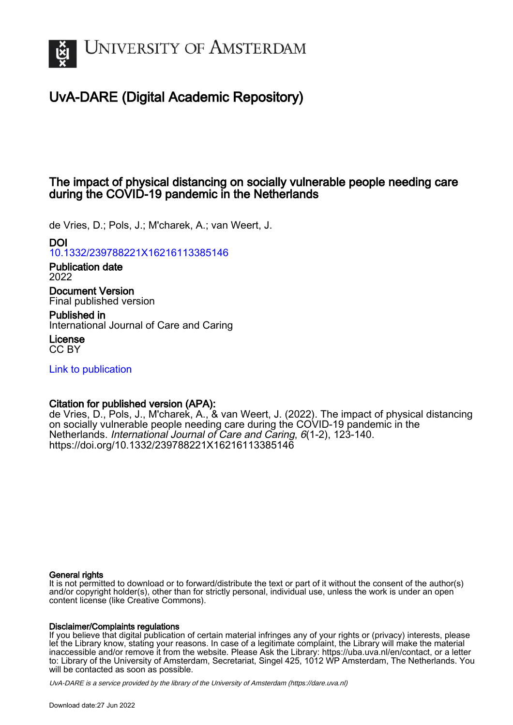

# UvA-DARE (Digital Academic Repository)

# The impact of physical distancing on socially vulnerable people needing care during the COVID-19 pandemic in the Netherlands

de Vries, D.; Pols, J.; M'charek, A.; van Weert, J.

## DOI

[10.1332/239788221X16216113385146](https://doi.org/10.1332/239788221X16216113385146)

Publication date 2022

Document Version Final published version

Published in

International Journal of Care and Caring

License CC BY

[Link to publication](https://dare.uva.nl/personal/pure/en/publications/the-impact-of-physical-distancing-on-socially-vulnerable-people-needing-care-during-the-covid19-pandemic-in-the-netherlands(614a4c8c-e483-42eb-9a81-07580754598e).html)

## Citation for published version (APA):

de Vries, D., Pols, J., M'charek, A., & van Weert, J. (2022). The impact of physical distancing on socially vulnerable people needing care during the COVID-19 pandemic in the Netherlands. International Journal of Care and Caring, 6(1-2), 123-140. <https://doi.org/10.1332/239788221X16216113385146>

#### General rights

It is not permitted to download or to forward/distribute the text or part of it without the consent of the author(s) and/or copyright holder(s), other than for strictly personal, individual use, unless the work is under an open content license (like Creative Commons).

#### Disclaimer/Complaints regulations

If you believe that digital publication of certain material infringes any of your rights or (privacy) interests, please let the Library know, stating your reasons. In case of a legitimate complaint, the Library will make the material inaccessible and/or remove it from the website. Please Ask the Library: https://uba.uva.nl/en/contact, or a letter to: Library of the University of Amsterdam, Secretariat, Singel 425, 1012 WP Amsterdam, The Netherlands. You will be contacted as soon as possible.

UvA-DARE is a service provided by the library of the University of Amsterdam (http*s*://dare.uva.nl)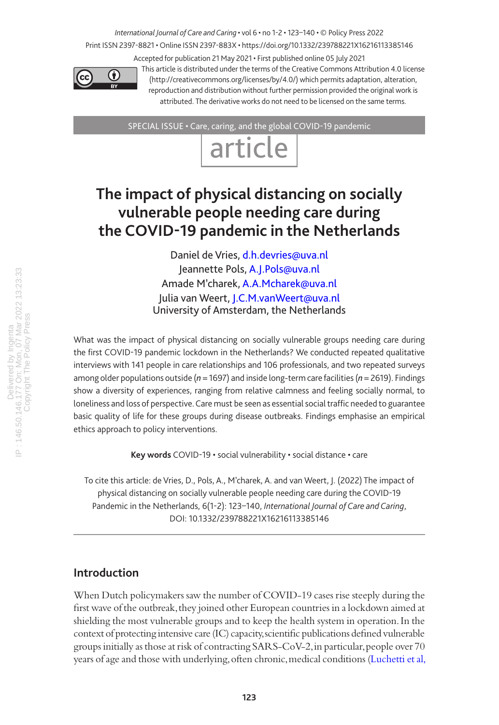# *International Journal of Care and Caring* • vol 6 • no 1-2 • 123–140 • © Policy Press 2022

Print ISSN 2397-8821 • Online ISSN 2397-883X • https://doi.org/10.1332/239788221X16216113385146 Accepted for publication 21 May 2021 • First published online 05 July 2021



This article is distributed under the terms of the Creative Commons Attribution 4.0 license (http://creativecommons.org/licenses/by/4.0/) which permits adaptation, alteration, reproduction and distribution without further permission provided the original work is attributed. The derivative works do not need to be licensed on the same terms.

SPECIAL ISSUE • Care, caring, and the global COVID-19 pandemic



# **The impact of physical distancing on socially vulnerable people needing care during the COVID-19 pandemic in the Netherlands**

Daniel de Vries, [d.h.devries@uva.nl](mailto:d.h.devries@uva.nl) Jeannette Pols, [A.J.Pols@uva.nl](mailto:A.J.Pols@uva.nl) Amade M'charek, [A.A.Mcharek@uva.nl](mailto:A.A.Mcharek@uva.nl) Julia van Weert, [J.C.M.vanWeert@uva.nl](mailto:J.C.M.vanWeert@uva.nl) University of Amsterdam, the Netherlands

What was the impact of physical distancing on socially vulnerable groups needing care during the first COVID-19 pandemic lockdown in the Netherlands? We conducted repeated qualitative interviews with 141 people in care relationships and 106 professionals, and two repeated surveys among older populations outside (*n* = 1697) and inside long-term care facilities (*n* = 2619). Findings show a diversity of experiences, ranging from relative calmness and feeling socially normal, to loneliness and loss of perspective. Care must be seen as essential social traffic needed to guarantee basic quality of life for these groups during disease outbreaks. Findings emphasise an empirical ethics approach to policy interventions.

**Key words** COVID-19 • social vulnerability • social distance • care

To cite this article: de Vries, D., Pols, A., M'charek, A. and van Weert, J. (2022) The impact of physical distancing on socially vulnerable people needing care during the COVID-19 Pandemic in the Netherlands, 6(1-2): 123–140, *International Journal of Care and Caring*, DOI: 10.1332/239788221X16216113385146

## **Introduction**

When Dutch policymakers saw the number of COVID-19 cases rise steeply during the first wave of the outbreak, they joined other European countries in a lockdown aimed at shielding the most vulnerable groups and to keep the health system in operation. In the context of protecting intensive care (IC) capacity, scientific publications defined vulnerable groups initially as those at risk of contracting SARS-CoV-2, in particular, people over 70 years of age and those with underlying, often chronic, medical conditions [\(Luchetti et al,](#page-17-0)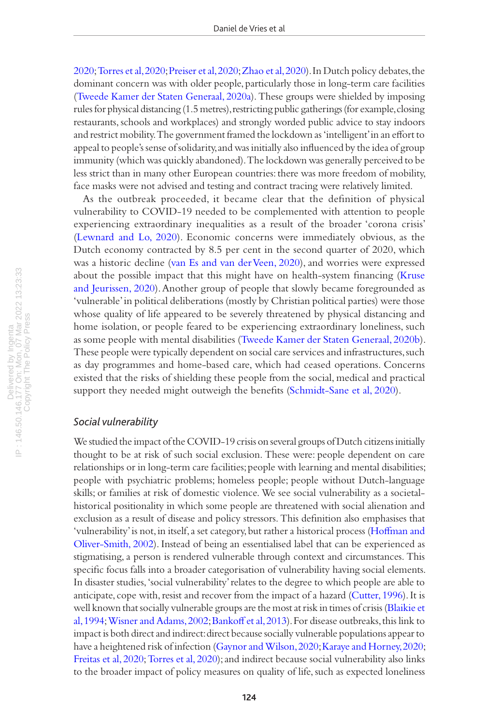[2020;](#page-17-0) [Torres et al, 2020;](#page-18-0) [Preiser et al, 2020](#page-17-1); [Zhao et al, 2020](#page-18-1)). In Dutch policy debates, the dominant concern was with older people, particularly those in long-term care facilities [\(Tweede Kamer der Staten Generaal, 2020a](#page-18-2)). These groups were shielded by imposing rules for physical distancing (1.5 metres), restricting public gatherings (for example, closing restaurants, schools and workplaces) and strongly worded public advice to stay indoors and restrict mobility. The government framed the lockdown as 'intelligent' in an effort to appeal to people's sense of solidarity, and was initially also influenced by the idea of group immunity (which was quickly abandoned). The lockdown was generally perceived to be less strict than in many other European countries: there was more freedom of mobility, face masks were not advised and testing and contract tracing were relatively limited.

As the outbreak proceeded, it became clear that the definition of physical vulnerability to COVID-19 needed to be complemented with attention to people experiencing extraordinary inequalities as a result of the broader 'corona crisis' [\(Lewnard and Lo, 2020](#page-17-2)). Economic concerns were immediately obvious, as the Dutch economy contracted by 8.5 per cent in the second quarter of 2020, which was a historic decline [\(van Es and van der Veen, 2020](#page-18-3)), and worries were expressed about the possible impact that this might have on health-system financing [\(Kruse](#page-17-3)  [and Jeurissen, 2020](#page-17-3)). Another group of people that slowly became foregrounded as 'vulnerable' in political deliberations (mostly by Christian political parties) were those whose quality of life appeared to be severely threatened by physical distancing and home isolation, or people feared to be experiencing extraordinary loneliness, such as some people with mental disabilities ([Tweede Kamer der Staten Generaal, 2020b\)](#page-18-4). These people were typically dependent on social care services and infrastructures, such as day programmes and home-based care, which had ceased operations. Concerns existed that the risks of shielding these people from the social, medical and practical support they needed might outweigh the benefits [\(Schmidt-Sane et al, 2020\)](#page-18-5).

#### *Social vulnerability*

We studied the impact of the COVID-19 crisis on several groups of Dutch citizens initially thought to be at risk of such social exclusion. These were: people dependent on care relationships or in long-term care facilities; people with learning and mental disabilities; people with psychiatric problems; homeless people; people without Dutch-language skills; or families at risk of domestic violence. We see social vulnerability as a societalhistorical positionality in which some people are threatened with social alienation and exclusion as a result of disease and policy stressors. This definition also emphasises that 'vulnerability' is not, in itself, a set category, but rather a historical process [\(Hoffman and](#page-17-4)  [Oliver-Smith, 2002](#page-17-4)). Instead of being an essentialised label that can be experienced as stigmatising, a person is rendered vulnerable through context and circumstances. This specific focus falls into a broader categorisation of vulnerability having social elements. In disaster studies, 'social vulnerability' relates to the degree to which people are able to anticipate, cope with, resist and recover from the impact of a hazard ([Cutter, 1996\)](#page-17-5). It is well known that socially vulnerable groups are the most at risk in times of crisis ([Blaikie et](#page-16-0)  [al, 1994](#page-16-0); [Wisner and Adams, 2002;](#page-18-6) [Bankoff et al, 2013](#page-16-1)). For disease outbreaks, this link to impact is both direct and indirect: direct because socially vulnerable populations appear to have a heightened risk of infection [\(Gaynor and Wilson, 2020;](#page-17-6) [Karaye and Horney, 2020;](#page-17-7) [Freitas et al, 2020;](#page-17-8) [Torres et al, 2020\)](#page-18-0); and indirect because social vulnerability also links to the broader impact of policy measures on quality of life, such as expected loneliness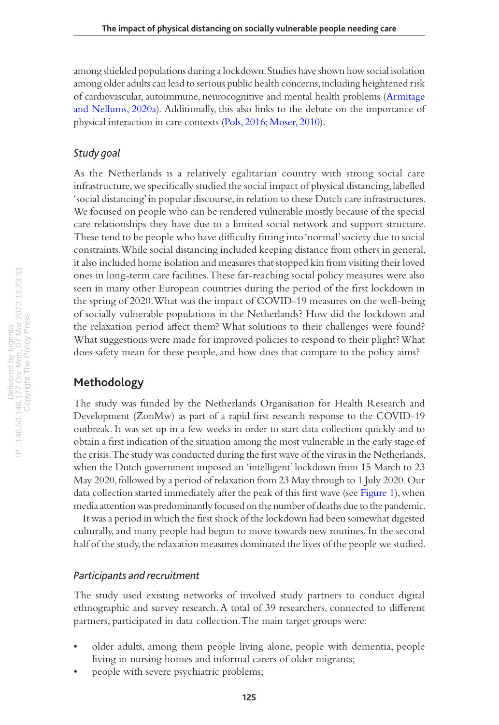among shielded populations during a lockdown. Studies have shown how social isolation among older adults can lead to serious public health concerns, including heightened risk of cardiovascular, autoimmune, neurocognitive and mental health problems ([Armitage](#page-16-2)  [and Nellums, 2020a\)](#page-16-2). Additionally, this also links to the debate on the importance of physical interaction in care contexts [\(Pols, 2016;](#page-17-9) [Moser, 2010\)](#page-17-10).

#### *Study goal*

As the Netherlands is a relatively egalitarian country with strong social care infrastructure, we specifically studied the social impact of physical distancing, labelled 'social distancing' in popular discourse, in relation to these Dutch care infrastructures. We focused on people who can be rendered vulnerable mostly because of the special care relationships they have due to a limited social network and support structure. These tend to be people who have difficulty fitting into 'normal' society due to social constraints. While social distancing included keeping distance from others in general, it also included home isolation and measures that stopped kin from visiting their loved ones in long-term care facilities. These far-reaching social policy measures were also seen in many other European countries during the period of the first lockdown in the spring of 2020. What was the impact of COVID-19 measures on the well-being of socially vulnerable populations in the Netherlands? How did the lockdown and the relaxation period affect them? What solutions to their challenges were found? What suggestions were made for improved policies to respond to their plight? What does safety mean for these people, and how does that compare to the policy aims?

### **Methodology**

The study was funded by the Netherlands Organisation for Health Research and Development (ZonMw) as part of a rapid first research response to the COVID-19 outbreak. It was set up in a few weeks in order to start data collection quickly and to obtain a first indication of the situation among the most vulnerable in the early stage of the crisis. The study was conducted during the first wave of the virus in the Netherlands, when the Dutch government imposed an 'intelligent' lockdown from 15 March to 23 May 2020, followed by a period of relaxation from 23 May through to 1 July 2020. Our data collection started immediately after the peak of this first wave (see [Figure 1\)](#page-4-0), when media attention was predominantly focused on the number of deaths due to the pandemic.

It was a period in which the first shock of the lockdown had been somewhat digested culturally, and many people had begun to move towards new routines. In the second half of the study, the relaxation measures dominated the lives of the people we studied.

#### *Participants and recruitment*

The study used existing networks of involved study partners to conduct digital ethnographic and survey research. A total of 39 researchers, connected to different partners, participated in data collection. The main target groups were:

- older adults, among them people living alone, people with dementia, people living in nursing homes and informal carers of older migrants;
- people with severe psychiatric problems;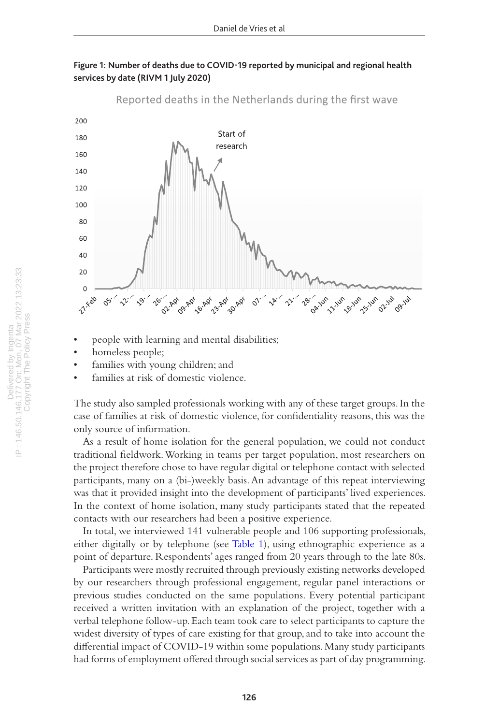

<span id="page-4-0"></span>

- people with learning and mental disabilities;
- homeless people;
- families with young children; and
- families at risk of domestic violence.

The study also sampled professionals working with any of these target groups. In the case of families at risk of domestic violence, for confidentiality reasons, this was the only source of information.

As a result of home isolation for the general population, we could not conduct traditional fieldwork. Working in teams per target population, most researchers on the project therefore chose to have regular digital or telephone contact with selected participants, many on a (bi-)weekly basis. An advantage of this repeat interviewing was that it provided insight into the development of participants' lived experiences. In the context of home isolation, many study participants stated that the repeated contacts with our researchers had been a positive experience.

In total, we interviewed 141 vulnerable people and 106 supporting professionals, either digitally or by telephone (see [Table 1\)](#page-5-0), using ethnographic experience as a point of departure. Respondents' ages ranged from 20 years through to the late 80s.

Participants were mostly recruited through previously existing networks developed by our researchers through professional engagement, regular panel interactions or previous studies conducted on the same populations. Every potential participant received a written invitation with an explanation of the project, together with a verbal telephone follow-up. Each team took care to select participants to capture the widest diversity of types of care existing for that group, and to take into account the differential impact of COVID-19 within some populations. Many study participants had forms of employment offered through social services as part of day programming.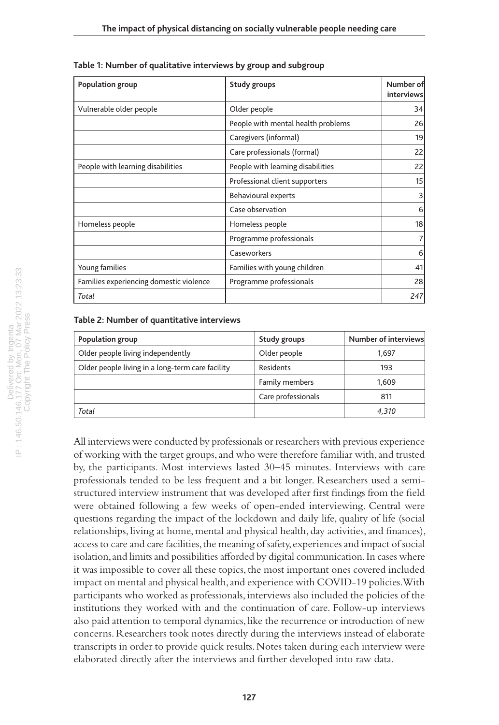| Population group                        | Study groups                       | Number of<br>interviews |
|-----------------------------------------|------------------------------------|-------------------------|
| Vulnerable older people                 | Older people                       | 34                      |
|                                         | People with mental health problems | 26                      |
|                                         | Caregivers (informal)              | 19                      |
|                                         | Care professionals (formal)        | 22                      |
| People with learning disabilities       | People with learning disabilities  | 22                      |
|                                         | Professional client supporters     | 15                      |
|                                         | <b>Behavioural experts</b>         | 3                       |
|                                         | Case observation                   | 6                       |
| Homeless people                         | Homeless people                    | 18                      |
|                                         | Programme professionals            | 7 <sup>1</sup>          |
|                                         | Caseworkers                        | 6                       |
| Young families                          | Families with young children       | 41                      |
| Families experiencing domestic violence | Programme professionals            | 28                      |
| Total                                   |                                    | 247                     |

<span id="page-5-0"></span>**Table 1: Number of qualitative interviews by group and subgroup**

#### <span id="page-5-1"></span>**Table 2: Number of quantitative interviews**

| Population group                                 | Study groups       | Number of interviews |
|--------------------------------------------------|--------------------|----------------------|
| Older people living independently                | Older people       | 1,697                |
| Older people living in a long-term care facility | Residents          | 193                  |
|                                                  | Family members     | 1,609                |
|                                                  | Care professionals | 811                  |
| Total                                            |                    | 4,310                |

All interviews were conducted by professionals or researchers with previous experience of working with the target groups, and who were therefore familiar with, and trusted by, the participants. Most interviews lasted 30–45 minutes. Interviews with care professionals tended to be less frequent and a bit longer. Researchers used a semistructured interview instrument that was developed after first findings from the field were obtained following a few weeks of open-ended interviewing. Central were questions regarding the impact of the lockdown and daily life, quality of life (social relationships, living at home, mental and physical health, day activities, and finances), access to care and care facilities, the meaning of safety, experiences and impact of social isolation, and limits and possibilities afforded by digital communication. In cases where it was impossible to cover all these topics, the most important ones covered included impact on mental and physical health, and experience with COVID-19 policies. With participants who worked as professionals, interviews also included the policies of the institutions they worked with and the continuation of care. Follow-up interviews also paid attention to temporal dynamics, like the recurrence or introduction of new concerns. Researchers took notes directly during the interviews instead of elaborate transcripts in order to provide quick results. Notes taken during each interview were elaborated directly after the interviews and further developed into raw data.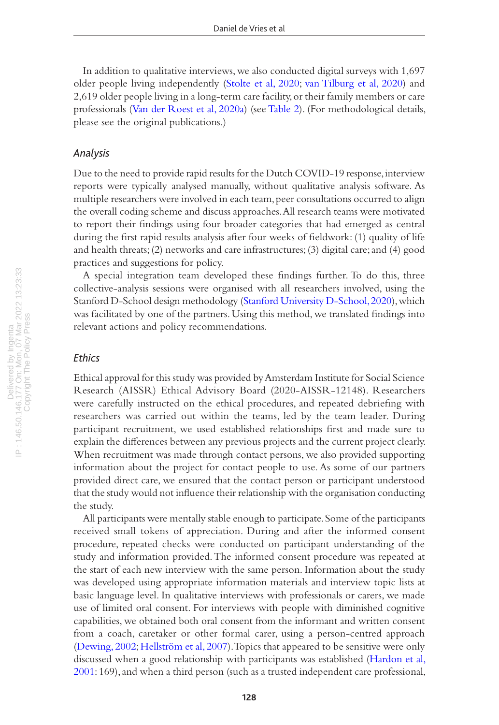In addition to qualitative interviews, we also conducted digital surveys with 1,697 older people living independently [\(Stolte et al, 2020;](#page-18-7) [van Tilburg et al, 2020\)](#page-18-8) and 2,619 older people living in a long-term care facility, or their family members or care professionals [\(Van der Roest et al, 2020a](#page-18-9)) (see [Table 2\)](#page-5-1). (For methodological details, please see the original publications.)

#### *Analysis*

Due to the need to provide rapid results for the Dutch COVID-19 response, interview reports were typically analysed manually, without qualitative analysis software. As multiple researchers were involved in each team, peer consultations occurred to align the overall coding scheme and discuss approaches. All research teams were motivated to report their findings using four broader categories that had emerged as central during the first rapid results analysis after four weeks of fieldwork: (1) quality of life and health threats; (2) networks and care infrastructures; (3) digital care; and (4) good practices and suggestions for policy.

A special integration team developed these findings further. To do this, three collective-analysis sessions were organised with all researchers involved, using the Stanford D-School design methodology [\(Stanford University D-School, 2020](#page-18-10)), which was facilitated by one of the partners. Using this method, we translated findings into relevant actions and policy recommendations.

#### *Ethics*

Ethical approval for this study was provided by Amsterdam Institute for Social Science Research (AISSR) Ethical Advisory Board (2020-AISSR-12148). Researchers were carefully instructed on the ethical procedures, and repeated debriefing with researchers was carried out within the teams, led by the team leader. During participant recruitment, we used established relationships first and made sure to explain the differences between any previous projects and the current project clearly. When recruitment was made through contact persons, we also provided supporting information about the project for contact people to use. As some of our partners provided direct care, we ensured that the contact person or participant understood that the study would not influence their relationship with the organisation conducting the study.

All participants were mentally stable enough to participate. Some of the participants received small tokens of appreciation. During and after the informed consent procedure, repeated checks were conducted on participant understanding of the study and information provided. The informed consent procedure was repeated at the start of each new interview with the same person. Information about the study was developed using appropriate information materials and interview topic lists at basic language level. In qualitative interviews with professionals or carers, we made use of limited oral consent. For interviews with people with diminished cognitive capabilities, we obtained both oral consent from the informant and written consent from a coach, caretaker or other formal carer, using a person-centred approach [\(Dewing, 2002](#page-17-11); [Hellström et al, 2007\)](#page-17-12). Topics that appeared to be sensitive were only discussed when a good relationship with participants was established [\(Hardon et al,](#page-17-13)  [2001:](#page-17-13) 169), and when a third person (such as a trusted independent care professional,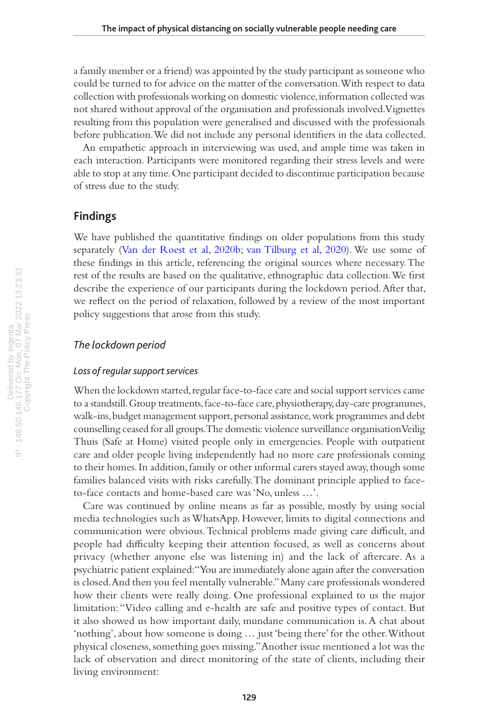a family member or a friend) was appointed by the study participant as someone who could be turned to for advice on the matter of the conversation. With respect to data collection with professionals working on domestic violence, information collected was not shared without approval of the organisation and professionals involved. Vignettes resulting from this population were generalised and discussed with the professionals before publication. We did not include any personal identifiers in the data collected.

An empathetic approach in interviewing was used, and ample time was taken in each interaction. Participants were monitored regarding their stress levels and were able to stop at any time. One participant decided to discontinue participation because of stress due to the study.

#### **Findings**

We have published the quantitative findings on older populations from this study separately [\(Van der Roest et al, 2020b](#page-18-3); [van Tilburg et al, 2020\)](#page-18-8). We use some of these findings in this article, referencing the original sources where necessary. The rest of the results are based on the qualitative, ethnographic data collection. We first describe the experience of our participants during the lockdown period. After that, we reflect on the period of relaxation, followed by a review of the most important policy suggestions that arose from this study.

#### *The lockdown period*

#### *Loss of regular support services*

When the lockdown started, regular face-to-face care and social support services came to a standstill. Group treatments, face-to-face care, physiotherapy, day-care programmes, walk-ins, budget management support, personal assistance, work programmes and debt counselling ceased for all groups. The domestic violence surveillance organisation Veilig Thuis (Safe at Home) visited people only in emergencies. People with outpatient care and older people living independently had no more care professionals coming to their homes. In addition, family or other informal carers stayed away, though some families balanced visits with risks carefully. The dominant principle applied to faceto-face contacts and home-based care was 'No, unless …'.

Care was continued by online means as far as possible, mostly by using social media technologies such as WhatsApp. However, limits to digital connections and communication were obvious. Technical problems made giving care difficult, and people had difficulty keeping their attention focused, as well as concerns about privacy (whether anyone else was listening in) and the lack of aftercare. As a psychiatric patient explained: "You are immediately alone again after the conversation is closed. And then you feel mentally vulnerable." Many care professionals wondered how their clients were really doing. One professional explained to us the major limitation: "Video calling and e-health are safe and positive types of contact. But it also showed us how important daily, mundane communication is. A chat about 'nothing', about how someone is doing … just 'being there' for the other. Without physical closeness, something goes missing." Another issue mentioned a lot was the lack of observation and direct monitoring of the state of clients, including their living environment: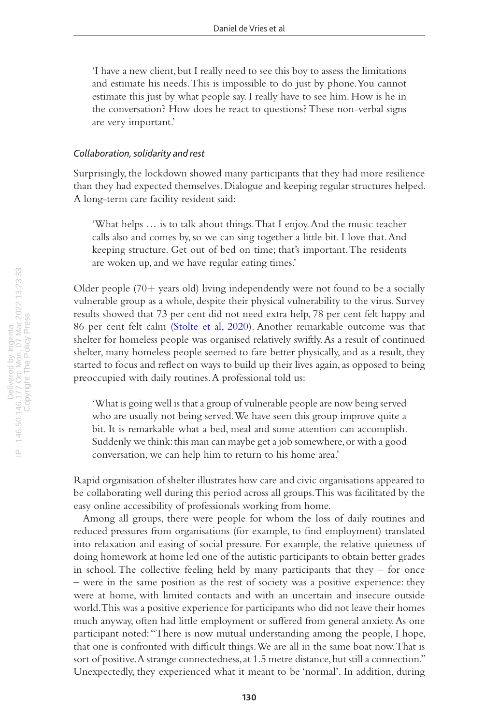'I have a new client, but I really need to see this boy to assess the limitations and estimate his needs. This is impossible to do just by phone. You cannot estimate this just by what people say. I really have to see him. How is he in the conversation? How does he react to questions? These non-verbal signs are very important.'

#### *Collaboration, solidarity and rest*

Surprisingly, the lockdown showed many participants that they had more resilience than they had expected themselves. Dialogue and keeping regular structures helped. A long-term care facility resident said:

'What helps … is to talk about things. That I enjoy. And the music teacher calls also and comes by, so we can sing together a little bit. I love that. And keeping structure. Get out of bed on time; that's important. The residents are woken up, and we have regular eating times.'

Older people (70+ years old) living independently were not found to be a socially vulnerable group as a whole, despite their physical vulnerability to the virus. Survey results showed that 73 per cent did not need extra help, 78 per cent felt happy and 86 per cent felt calm ([Stolte et al, 2020\)](#page-18-7). Another remarkable outcome was that shelter for homeless people was organised relatively swiftly. As a result of continued shelter, many homeless people seemed to fare better physically, and as a result, they started to focus and reflect on ways to build up their lives again, as opposed to being preoccupied with daily routines. A professional told us:

'What is going well is that a group of vulnerable people are now being served who are usually not being served. We have seen this group improve quite a bit. It is remarkable what a bed, meal and some attention can accomplish. Suddenly we think: this man can maybe get a job somewhere, or with a good conversation, we can help him to return to his home area.'

Rapid organisation of shelter illustrates how care and civic organisations appeared to be collaborating well during this period across all groups. This was facilitated by the easy online accessibility of professionals working from home.

Among all groups, there were people for whom the loss of daily routines and reduced pressures from organisations (for example, to find employment) translated into relaxation and easing of social pressure. For example, the relative quietness of doing homework at home led one of the autistic participants to obtain better grades in school. The collective feeling held by many participants that they  $-$  for once – were in the same position as the rest of society was a positive experience: they were at home, with limited contacts and with an uncertain and insecure outside world. This was a positive experience for participants who did not leave their homes much anyway, often had little employment or suffered from general anxiety. As one participant noted: "There is now mutual understanding among the people, I hope, that one is confronted with difficult things. We are all in the same boat now. That is sort of positive. A strange connectedness, at 1.5 metre distance, but still a connection." Unexpectedly, they experienced what it meant to be 'normal'. In addition, during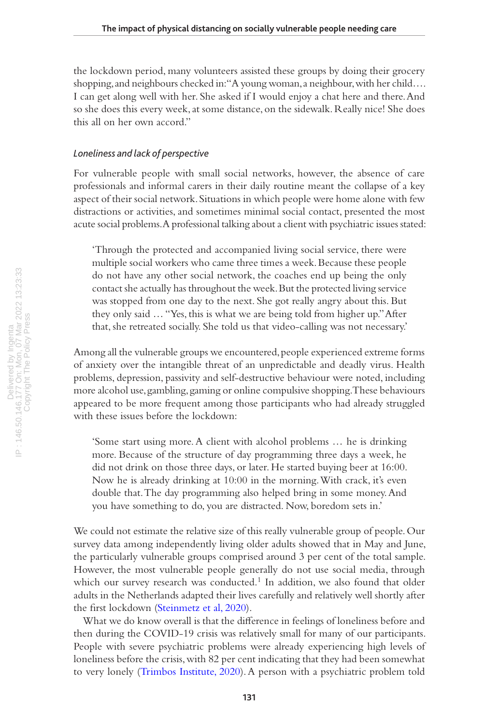the lockdown period, many volunteers assisted these groups by doing their grocery shopping, and neighbours checked in: "A young woman, a neighbour, with her child…. I can get along well with her. She asked if I would enjoy a chat here and there. And so she does this every week, at some distance, on the sidewalk. Really nice! She does this all on her own accord."

#### *Loneliness and lack of perspective*

For vulnerable people with small social networks, however, the absence of care professionals and informal carers in their daily routine meant the collapse of a key aspect of their social network. Situations in which people were home alone with few distractions or activities, and sometimes minimal social contact, presented the most acute social problems. A professional talking about a client with psychiatric issues stated:

'Through the protected and accompanied living social service, there were multiple social workers who came three times a week. Because these people do not have any other social network, the coaches end up being the only contact she actually has throughout the week. But the protected living service was stopped from one day to the next. She got really angry about this. But they only said … "Yes, this is what we are being told from higher up." After that, she retreated socially. She told us that video-calling was not necessary.'

Among all the vulnerable groups we encountered, people experienced extreme forms of anxiety over the intangible threat of an unpredictable and deadly virus. Health problems, depression, passivity and self-destructive behaviour were noted, including more alcohol use, gambling, gaming or online compulsive shopping. These behaviours appeared to be more frequent among those participants who had already struggled with these issues before the lockdown:

'Some start using more. A client with alcohol problems … he is drinking more. Because of the structure of day programming three days a week, he did not drink on those three days, or later. He started buying beer at 16:00. Now he is already drinking at 10:00 in the morning. With crack, it's even double that. The day programming also helped bring in some money. And you have something to do, you are distracted. Now, boredom sets in.'

We could not estimate the relative size of this really vulnerable group of people. Our survey data among independently living older adults showed that in May and June, the particularly vulnerable groups comprised around 3 per cent of the total sample. However, the most vulnerable people generally do not use social media, through which our survey research was conducted.<sup>1</sup> In addition, we also found that older adults in the Netherlands adapted their lives carefully and relatively well shortly after the first lockdown [\(Steinmetz et al, 2020\)](#page-18-11).

What we do know overall is that the difference in feelings of loneliness before and then during the COVID-19 crisis was relatively small for many of our participants. People with severe psychiatric problems were already experiencing high levels of loneliness before the crisis, with 82 per cent indicating that they had been somewhat to very lonely [\(Trimbos Institute, 2020\)](#page-18-12). A person with a psychiatric problem told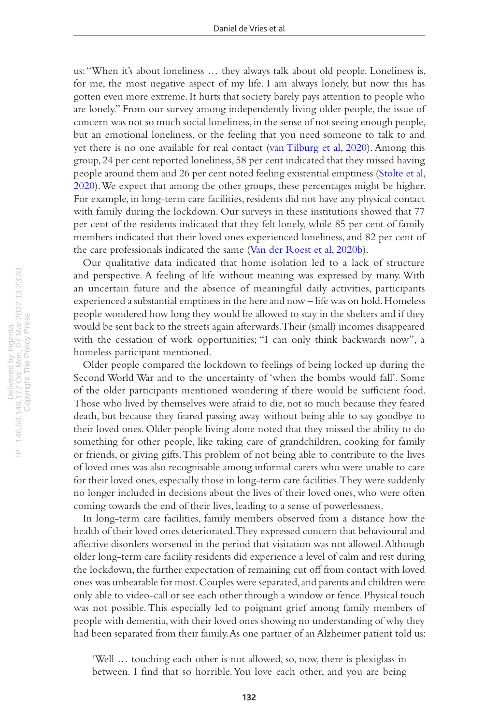us: "When it's about loneliness … they always talk about old people. Loneliness is, for me, the most negative aspect of my life. I am always lonely, but now this has gotten even more extreme. It hurts that society barely pays attention to people who are lonely." From our survey among independently living older people, the issue of concern was not so much social loneliness, in the sense of not seeing enough people, but an emotional loneliness, or the feeling that you need someone to talk to and yet there is no one available for real contact ([van Tilburg et al, 2020\)](#page-18-8). Among this group, 24 per cent reported loneliness, 58 per cent indicated that they missed having people around them and 26 per cent noted feeling existential emptiness ([Stolte et al,](#page-18-7)  [2020\)](#page-18-7). We expect that among the other groups, these percentages might be higher. For example, in long-term care facilities, residents did not have any physical contact with family during the lockdown. Our surveys in these institutions showed that 77 per cent of the residents indicated that they felt lonely, while 85 per cent of family members indicated that their loved ones experienced loneliness, and 82 per cent of the care professionals indicated the same ([Van der Roest et al, 2020b\)](#page-18-3).

Our qualitative data indicated that home isolation led to a lack of structure and perspective. A feeling of life without meaning was expressed by many. With an uncertain future and the absence of meaningful daily activities, participants experienced a substantial emptiness in the here and now – life was on hold. Homeless people wondered how long they would be allowed to stay in the shelters and if they would be sent back to the streets again afterwards. Their (small) incomes disappeared with the cessation of work opportunities; "I can only think backwards now", a homeless participant mentioned.

Older people compared the lockdown to feelings of being locked up during the Second World War and to the uncertainty of 'when the bombs would fall'. Some of the older participants mentioned wondering if there would be sufficient food. Those who lived by themselves were afraid to die, not so much because they feared death, but because they feared passing away without being able to say goodbye to their loved ones. Older people living alone noted that they missed the ability to do something for other people, like taking care of grandchildren, cooking for family or friends, or giving gifts. This problem of not being able to contribute to the lives of loved ones was also recognisable among informal carers who were unable to care for their loved ones, especially those in long-term care facilities. They were suddenly no longer included in decisions about the lives of their loved ones, who were often coming towards the end of their lives, leading to a sense of powerlessness.

In long-term care facilities, family members observed from a distance how the health of their loved ones deteriorated. They expressed concern that behavioural and affective disorders worsened in the period that visitation was not allowed. Although older long-term care facility residents did experience a level of calm and rest during the lockdown, the further expectation of remaining cut off from contact with loved ones was unbearable for most. Couples were separated, and parents and children were only able to video-call or see each other through a window or fence. Physical touch was not possible. This especially led to poignant grief among family members of people with dementia, with their loved ones showing no understanding of why they had been separated from their family. As one partner of an Alzheimer patient told us:

'Well … touching each other is not allowed, so, now, there is plexiglass in between. I find that so horrible. You love each other, and you are being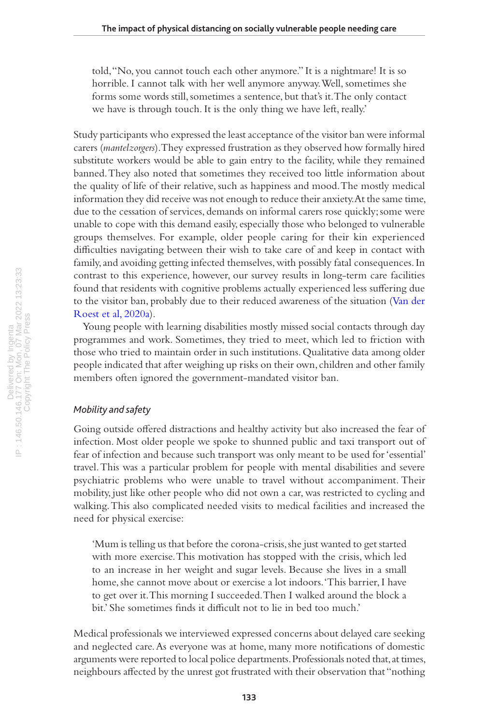told, "No, you cannot touch each other anymore." It is a nightmare! It is so horrible. I cannot talk with her well anymore anyway. Well, sometimes she forms some words still, sometimes a sentence, but that's it. The only contact we have is through touch. It is the only thing we have left, really.'

Study participants who expressed the least acceptance of the visitor ban were informal carers (*mantelzorgers*). They expressed frustration as they observed how formally hired substitute workers would be able to gain entry to the facility, while they remained banned. They also noted that sometimes they received too little information about the quality of life of their relative, such as happiness and mood. The mostly medical information they did receive was not enough to reduce their anxiety. At the same time, due to the cessation of services, demands on informal carers rose quickly; some were unable to cope with this demand easily, especially those who belonged to vulnerable groups themselves. For example, older people caring for their kin experienced difficulties navigating between their wish to take care of and keep in contact with family, and avoiding getting infected themselves, with possibly fatal consequences. In contrast to this experience, however, our survey results in long-term care facilities found that residents with cognitive problems actually experienced less suffering due to the visitor ban, probably due to their reduced awareness of the situation ([Van der](#page-18-9)  [Roest et al, 2020a](#page-18-9)).

Young people with learning disabilities mostly missed social contacts through day programmes and work. Sometimes, they tried to meet, which led to friction with those who tried to maintain order in such institutions. Qualitative data among older people indicated that after weighing up risks on their own, children and other family members often ignored the government-mandated visitor ban.

#### *Mobility and safety*

Going outside offered distractions and healthy activity but also increased the fear of infection. Most older people we spoke to shunned public and taxi transport out of fear of infection and because such transport was only meant to be used for 'essential' travel. This was a particular problem for people with mental disabilities and severe psychiatric problems who were unable to travel without accompaniment. Their mobility, just like other people who did not own a car, was restricted to cycling and walking. This also complicated needed visits to medical facilities and increased the need for physical exercise:

'Mum is telling us that before the corona-crisis, she just wanted to get started with more exercise. This motivation has stopped with the crisis, which led to an increase in her weight and sugar levels. Because she lives in a small home, she cannot move about or exercise a lot indoors. 'This barrier, I have to get over it. This morning I succeeded. Then I walked around the block a bit.' She sometimes finds it difficult not to lie in bed too much.'

Medical professionals we interviewed expressed concerns about delayed care seeking and neglected care. As everyone was at home, many more notifications of domestic arguments were reported to local police departments. Professionals noted that, at times, neighbours affected by the unrest got frustrated with their observation that "nothing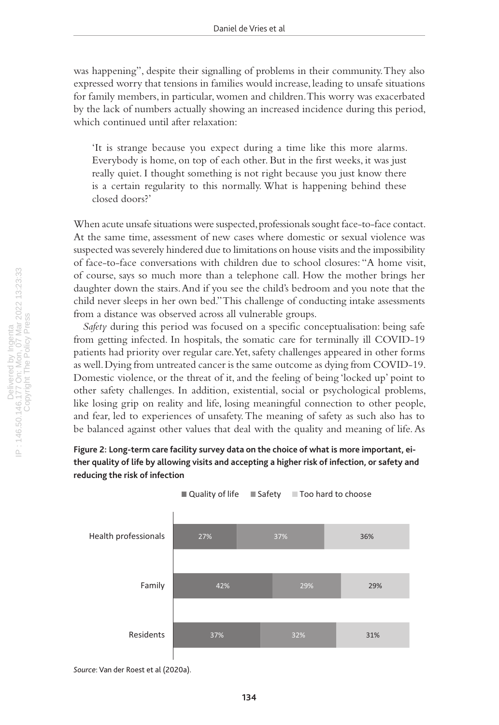was happening", despite their signalling of problems in their community. They also expressed worry that tensions in families would increase, leading to unsafe situations for family members, in particular, women and children. This worry was exacerbated by the lack of numbers actually showing an increased incidence during this period, which continued until after relaxation:

'It is strange because you expect during a time like this more alarms. Everybody is home, on top of each other. But in the first weeks, it was just really quiet. I thought something is not right because you just know there is a certain regularity to this normally. What is happening behind these closed doors?'

When acute unsafe situations were suspected, professionals sought face-to-face contact. At the same time, assessment of new cases where domestic or sexual violence was suspected was severely hindered due to limitations on house visits and the impossibility of face-to-face conversations with children due to school closures: "A home visit, of course, says so much more than a telephone call. How the mother brings her daughter down the stairs. And if you see the child's bedroom and you note that the child never sleeps in her own bed." This challenge of conducting intake assessments from a distance was observed across all vulnerable groups.

*Safety* during this period was focused on a specific conceptualisation: being safe from getting infected. In hospitals, the somatic care for terminally ill COVID-19 patients had priority over regular care. Yet, safety challenges appeared in other forms as well. Dying from untreated cancer is the same outcome as dying from COVID-19. Domestic violence, or the threat of it, and the feeling of being 'locked up' point to other safety challenges. In addition, existential, social or psychological problems, like losing grip on reality and life, losing meaningful connection to other people, and fear, led to experiences of unsafety. The meaning of safety as such also has to be balanced against other values that deal with the quality and meaning of life. As

#### <span id="page-12-0"></span>**Figure 2: Long-term care facility survey data on the choice of what is more important, either quality of life by allowing visits and accepting a higher risk of infection, or safety and reducing the risk of infection**



*Source*: Van der Roest et al (2020a).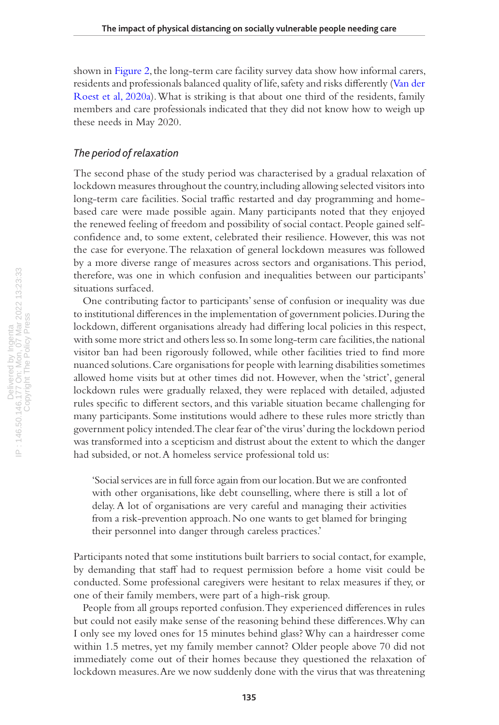shown in [Figure 2](#page-12-0), the long-term care facility survey data show how informal carers, residents and professionals balanced quality of life, safety and risks differently ([Van der](#page-18-9)  [Roest et al, 2020a](#page-18-9)). What is striking is that about one third of the residents, family members and care professionals indicated that they did not know how to weigh up these needs in May 2020.

#### *The period of relaxation*

The second phase of the study period was characterised by a gradual relaxation of lockdown measures throughout the country, including allowing selected visitors into long-term care facilities. Social traffic restarted and day programming and homebased care were made possible again. Many participants noted that they enjoyed the renewed feeling of freedom and possibility of social contact. People gained selfconfidence and, to some extent, celebrated their resilience. However, this was not the case for everyone. The relaxation of general lockdown measures was followed by a more diverse range of measures across sectors and organisations. This period, therefore, was one in which confusion and inequalities between our participants' situations surfaced.

One contributing factor to participants' sense of confusion or inequality was due to institutional differences in the implementation of government policies. During the lockdown, different organisations already had differing local policies in this respect, with some more strict and others less so. In some long-term care facilities, the national visitor ban had been rigorously followed, while other facilities tried to find more nuanced solutions. Care organisations for people with learning disabilities sometimes allowed home visits but at other times did not. However, when the 'strict', general lockdown rules were gradually relaxed, they were replaced with detailed, adjusted rules specific to different sectors, and this variable situation became challenging for many participants. Some institutions would adhere to these rules more strictly than government policy intended. The clear fear of 'the virus' during the lockdown period was transformed into a scepticism and distrust about the extent to which the danger had subsided, or not. A homeless service professional told us:

'Social services are in full force again from our location. But we are confronted with other organisations, like debt counselling, where there is still a lot of delay. A lot of organisations are very careful and managing their activities from a risk-prevention approach. No one wants to get blamed for bringing their personnel into danger through careless practices.'

Participants noted that some institutions built barriers to social contact, for example, by demanding that staff had to request permission before a home visit could be conducted. Some professional caregivers were hesitant to relax measures if they, or one of their family members, were part of a high-risk group.

People from all groups reported confusion. They experienced differences in rules but could not easily make sense of the reasoning behind these differences. Why can I only see my loved ones for 15 minutes behind glass? Why can a hairdresser come within 1.5 metres, yet my family member cannot? Older people above 70 did not immediately come out of their homes because they questioned the relaxation of lockdown measures. Are we now suddenly done with the virus that was threatening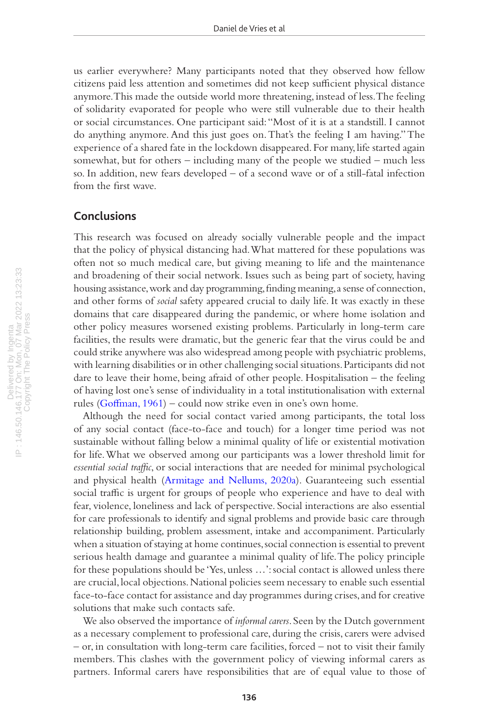us earlier everywhere? Many participants noted that they observed how fellow citizens paid less attention and sometimes did not keep sufficient physical distance anymore. This made the outside world more threatening, instead of less. The feeling of solidarity evaporated for people who were still vulnerable due to their health or social circumstances. One participant said: "Most of it is at a standstill. I cannot do anything anymore. And this just goes on. That's the feeling I am having." The experience of a shared fate in the lockdown disappeared. For many, life started again somewhat, but for others – including many of the people we studied – much less so. In addition, new fears developed – of a second wave or of a still-fatal infection from the first wave.

#### **Conclusions**

This research was focused on already socially vulnerable people and the impact that the policy of physical distancing had. What mattered for these populations was often not so much medical care, but giving meaning to life and the maintenance and broadening of their social network. Issues such as being part of society, having housing assistance, work and day programming, finding meaning, a sense of connection, and other forms of *social* safety appeared crucial to daily life. It was exactly in these domains that care disappeared during the pandemic, or where home isolation and other policy measures worsened existing problems. Particularly in long-term care facilities, the results were dramatic, but the generic fear that the virus could be and could strike anywhere was also widespread among people with psychiatric problems, with learning disabilities or in other challenging social situations. Participants did not dare to leave their home, being afraid of other people. Hospitalisation – the feeling of having lost one's sense of individuality in a total institutionalisation with external rules ([Goffman, 1961\)](#page-17-14) – could now strike even in one's own home.

Although the need for social contact varied among participants, the total loss of any social contact (face-to-face and touch) for a longer time period was not sustainable without falling below a minimal quality of life or existential motivation for life. What we observed among our participants was a lower threshold limit for *essential social traffic*, or social interactions that are needed for minimal psychological and physical health ([Armitage and Nellums, 2020a](#page-16-2)). Guaranteeing such essential social traffic is urgent for groups of people who experience and have to deal with fear, violence, loneliness and lack of perspective. Social interactions are also essential for care professionals to identify and signal problems and provide basic care through relationship building, problem assessment, intake and accompaniment. Particularly when a situation of staying at home continues, social connection is essential to prevent serious health damage and guarantee a minimal quality of life. The policy principle for these populations should be 'Yes, unless …': social contact is allowed unless there are crucial, local objections. National policies seem necessary to enable such essential face-to-face contact for assistance and day programmes during crises, and for creative solutions that make such contacts safe.

We also observed the importance of *informal carers*. Seen by the Dutch government as a necessary complement to professional care, during the crisis, carers were advised – or, in consultation with long-term care facilities, forced – not to visit their family members. This clashes with the government policy of viewing informal carers as partners. Informal carers have responsibilities that are of equal value to those of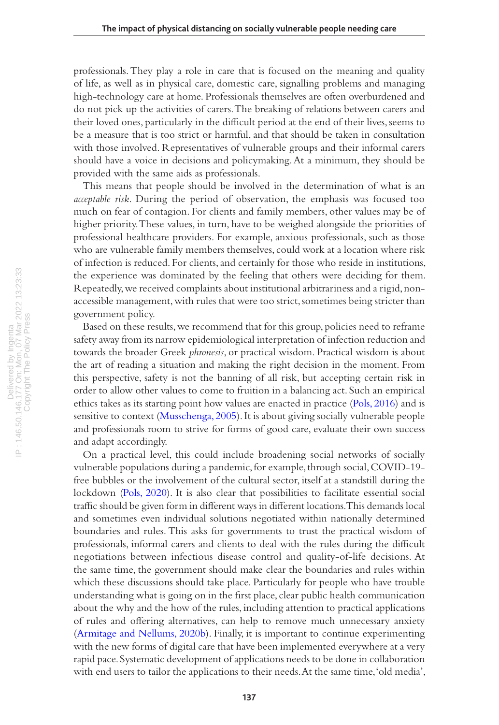professionals. They play a role in care that is focused on the meaning and quality of life, as well as in physical care, domestic care, signalling problems and managing high-technology care at home. Professionals themselves are often overburdened and do not pick up the activities of carers. The breaking of relations between carers and their loved ones, particularly in the difficult period at the end of their lives, seems to be a measure that is too strict or harmful, and that should be taken in consultation with those involved. Representatives of vulnerable groups and their informal carers should have a voice in decisions and policymaking. At a minimum, they should be provided with the same aids as professionals.

This means that people should be involved in the determination of what is an *acceptable risk*. During the period of observation, the emphasis was focused too much on fear of contagion. For clients and family members, other values may be of higher priority. These values, in turn, have to be weighed alongside the priorities of professional healthcare providers. For example, anxious professionals, such as those who are vulnerable family members themselves, could work at a location where risk of infection is reduced. For clients, and certainly for those who reside in institutions, the experience was dominated by the feeling that others were deciding for them. Repeatedly, we received complaints about institutional arbitrariness and a rigid, nonaccessible management, with rules that were too strict, sometimes being stricter than government policy.

Based on these results, we recommend that for this group, policies need to reframe safety away from its narrow epidemiological interpretation of infection reduction and towards the broader Greek *phronesis*, or practical wisdom. Practical wisdom is about the art of reading a situation and making the right decision in the moment. From this perspective, safety is not the banning of all risk, but accepting certain risk in order to allow other values to come to fruition in a balancing act. Such an empirical ethics takes as its starting point how values are enacted in practice [\(Pols, 2016](#page-17-9)) and is sensitive to context [\(Musschenga, 2005](#page-17-15)). It is about giving socially vulnerable people and professionals room to strive for forms of good care, evaluate their own success and adapt accordingly.

On a practical level, this could include broadening social networks of socially vulnerable populations during a pandemic, for example, through social, COVID-19 free bubbles or the involvement of the cultural sector, itself at a standstill during the lockdown [\(Pols, 2020](#page-17-16)). It is also clear that possibilities to facilitate essential social traffic should be given form in different ways in different locations. This demands local and sometimes even individual solutions negotiated within nationally determined boundaries and rules. This asks for governments to trust the practical wisdom of professionals, informal carers and clients to deal with the rules during the difficult negotiations between infectious disease control and quality-of-life decisions. At the same time, the government should make clear the boundaries and rules within which these discussions should take place. Particularly for people who have trouble understanding what is going on in the first place, clear public health communication about the why and the how of the rules, including attention to practical applications of rules and offering alternatives, can help to remove much unnecessary anxiety [\(Armitage and Nellums, 2020b](#page-16-3)). Finally, it is important to continue experimenting with the new forms of digital care that have been implemented everywhere at a very rapid pace. Systematic development of applications needs to be done in collaboration with end users to tailor the applications to their needs. At the same time, 'old media',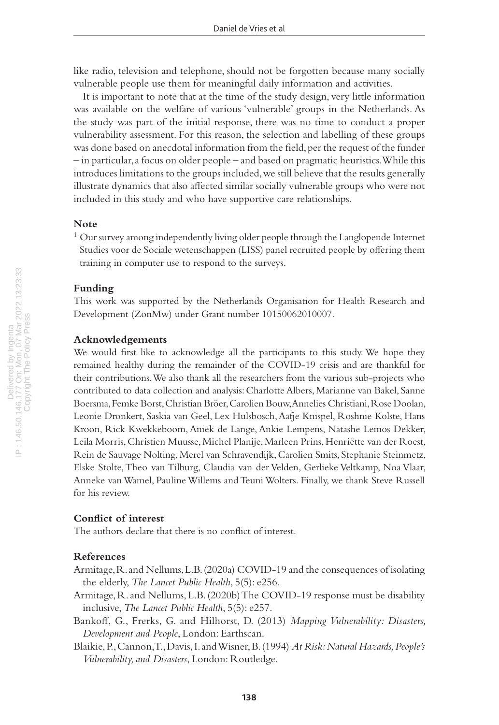like radio, television and telephone, should not be forgotten because many socially vulnerable people use them for meaningful daily information and activities.

It is important to note that at the time of the study design, very little information was available on the welfare of various 'vulnerable' groups in the Netherlands. As the study was part of the initial response, there was no time to conduct a proper vulnerability assessment. For this reason, the selection and labelling of these groups was done based on anecdotal information from the field, per the request of the funder – in particular, a focus on older people – and based on pragmatic heuristics. While this introduces limitations to the groups included, we still believe that the results generally illustrate dynamics that also affected similar socially vulnerable groups who were not included in this study and who have supportive care relationships.

#### **Note**

 $1$  Our survey among independently living older people through the Langlopende Internet Studies voor de Sociale wetenschappen (LISS) panel recruited people by offering them training in computer use to respond to the surveys.

#### **Funding**

This work was supported by the Netherlands Organisation for Health Research and Development (ZonMw) under Grant number 10150062010007.

#### **Acknowledgements**

We would first like to acknowledge all the participants to this study. We hope they remained healthy during the remainder of the COVID-19 crisis and are thankful for their contributions. We also thank all the researchers from the various sub-projects who contributed to data collection and analysis: Charlotte Albers, Marianne van Bakel, Sanne Boersma, Femke Borst, Christian Bröer, Carolien Bouw, Annelies Christiani, Rose Doolan, Leonie Dronkert, Saskia van Geel, Lex Hulsbosch, Aafje Knispel, Roshnie Kolste, Hans Kroon, Rick Kwekkeboom, Aniek de Lange, Ankie Lempens, Natashe Lemos Dekker, Leila Morris, Christien Muusse, Michel Planije, Marleen Prins, Henriëtte van der Roest, Rein de Sauvage Nolting, Merel van Schravendijk, Carolien Smits, Stephanie Steinmetz, Elske Stolte, Theo van Tilburg, Claudia van der Velden, Gerlieke Veltkamp, Noa Vlaar, Anneke van Wamel, Pauline Willems and Teuni Wolters. Finally, we thank Steve Russell for his review.

#### **Conflict of interest**

The authors declare that there is no conflict of interest.

#### **References**

<span id="page-16-2"></span>Armitage, R. and Nellums, L.B. (2020a) COVID-19 and the consequences of isolating the elderly, *The Lancet Public Health*, 5(5): e256.

- <span id="page-16-3"></span>Armitage, R. and Nellums, L.B. (2020b) The COVID-19 response must be disability inclusive, *The Lancet Public Health*, 5(5): e257.
- <span id="page-16-1"></span>Bankoff, G., Frerks, G. and Hilhorst, D. (2013) *Mapping Vulnerability: Disasters, Development and People*, London: Earthscan.
- <span id="page-16-0"></span>Blaikie, P., Cannon, T., Davis, I. and Wisner, B. (1994) *At Risk: Natural Hazards, People's Vulnerability, and Disasters*, London: Routledge.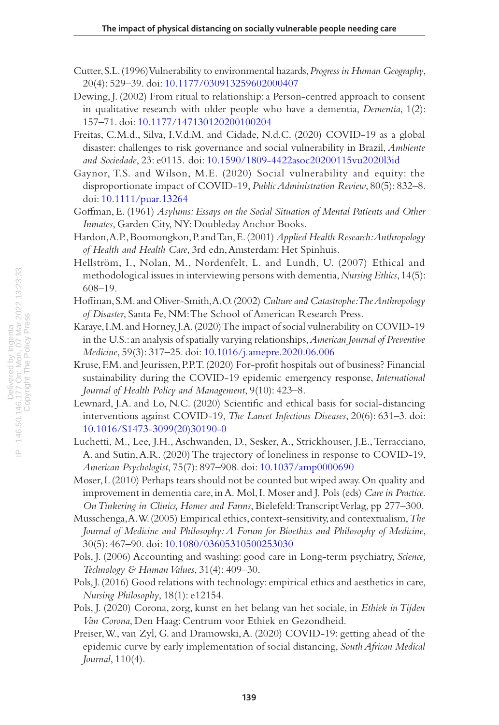- <span id="page-17-5"></span>Cutter, S.L. (1996) Vulnerability to environmental hazards, *Progress in Human Geography*, 20(4): 529–39. doi: [10.1177/030913259602000407](https://doi.org/10.1177/030913259602000407)
- <span id="page-17-11"></span>Dewing, J. (2002) From ritual to relationship: a Person-centred approach to consent in qualitative research with older people who have a dementia, *Dementia*, 1(2): 157–71. doi: [10.1177/147130120200100204](https://doi.org/10.1177/147130120200100204)
- <span id="page-17-8"></span>Freitas, C.M.d., Silva, I.V.d.M. and Cidade, N.d.C. (2020) COVID-19 as a global disaster: challenges to risk governance and social vulnerability in Brazil, *Ambiente and Sociedade*, 23: e0115. doi: [10.1590/1809-4422asoc20200115vu2020l3id](https://doi.org/10.1590/1809-4422asoc20200115vu2020l3id)
- <span id="page-17-6"></span>Gaynor, T.S. and Wilson, M.E. (2020) Social vulnerability and equity: the disproportionate impact of COVID-19, *Public Administration Review*, 80(5): 832–8. doi: [10.1111/puar.13264](https://doi.org/10.1111/puar.13264)
- <span id="page-17-14"></span>Goffman, E. (1961) *Asylums: Essays on the Social Situation of Mental Patients and Other Inmates*, Garden City, NY: Doubleday Anchor Books.
- <span id="page-17-13"></span>Hardon, A.P., Boomongkon, P. and Tan, E. (2001) *Applied Health Research: Anthropology of Health and Health Care*, 3rd edn, Amsterdam: Het Spinhuis.
- <span id="page-17-12"></span>Hellström, I., Nolan, M., Nordenfelt, L. and Lundh, U. (2007) Ethical and methodological issues in interviewing persons with dementia, *Nursing Ethics*, 14(5): 608–19.
- <span id="page-17-4"></span>Hoffman, S.M. and Oliver-Smith, A.O. (2002) *Culture and Catastrophe: The Anthropology of Disaster*, Santa Fe, NM: The School of American Research Press.
- <span id="page-17-7"></span>Karaye, I.M. and Horney, J.A. (2020) The impact of social vulnerability on COVID-19 in the U.S.: an analysis of spatially varying relationships, *American Journal of Preventive Medicine*, 59(3): 317–25. doi: [10.1016/j.amepre.2020.06.006](https://doi.org/10.1016/j.amepre.2020.06.006)
- <span id="page-17-3"></span>Kruse, F.M. and Jeurissen, P.P.T. (2020) For-profit hospitals out of business? Financial sustainability during the COVID-19 epidemic emergency response, *International Journal of Health Policy and Management*, 9(10): 423–8.
- <span id="page-17-2"></span>Lewnard, J.A. and Lo, N.C. (2020) Scientific and ethical basis for social-distancing interventions against COVID-19, *The Lancet Infectious Diseases*, 20(6): 631–3. doi: [10.1016/S1473-3099\(20\)30190-0](https://doi.org/10.1016/S1473-3099(20)30190-0)
- <span id="page-17-0"></span>Luchetti, M., Lee, J.H., Aschwanden, D., Sesker, A., Strickhouser, J.E., Terracciano, A. and Sutin, A.R. (2020) The trajectory of loneliness in response to COVID-19, *American Psychologist*, 75(7): 897–908. doi: [10.1037/amp0000690](https://doi.org/10.1037/amp0000690)
- <span id="page-17-10"></span>Moser, I. (2010) Perhaps tears should not be counted but wiped away. On quality and improvement in dementia care, in A. Mol, I. Moser and J. Pols (eds) *Care in Practice. On Tinkering in Clinics, Homes and Farms*, Bielefeld: Transcript Verlag, pp 277–300.
- <span id="page-17-15"></span>Musschenga, A.W. (2005) Empirical ethics, context-sensitivity, and contextualism, *The Journal of Medicine and Philosophy: A Forum for Bioethics and Philosophy of Medicine*, 30(5): 467–90. doi: [10.1080/03605310500253030](https://doi.org/10.1080/03605310500253030)
- Pols, J. (2006) Accounting and washing: good care in Long-term psychiatry, *Science, Technology & Human Values*, 31(4): 409–30.
- <span id="page-17-9"></span>Pols, J. (2016) Good relations with technology: empirical ethics and aesthetics in care, *Nursing Philosophy*, 18(1): e12154.
- <span id="page-17-16"></span>Pols, J. (2020) Corona, zorg, kunst en het belang van het sociale, in *Ethiek in Tijden Van Corona*, Den Haag: Centrum voor Ethiek en Gezondheid.
- <span id="page-17-1"></span>Preiser, W., van Zyl, G. and Dramowski, A. (2020) COVID-19: getting ahead of the epidemic curve by early implementation of social distancing, *South African Medical Journal*, 110(4).